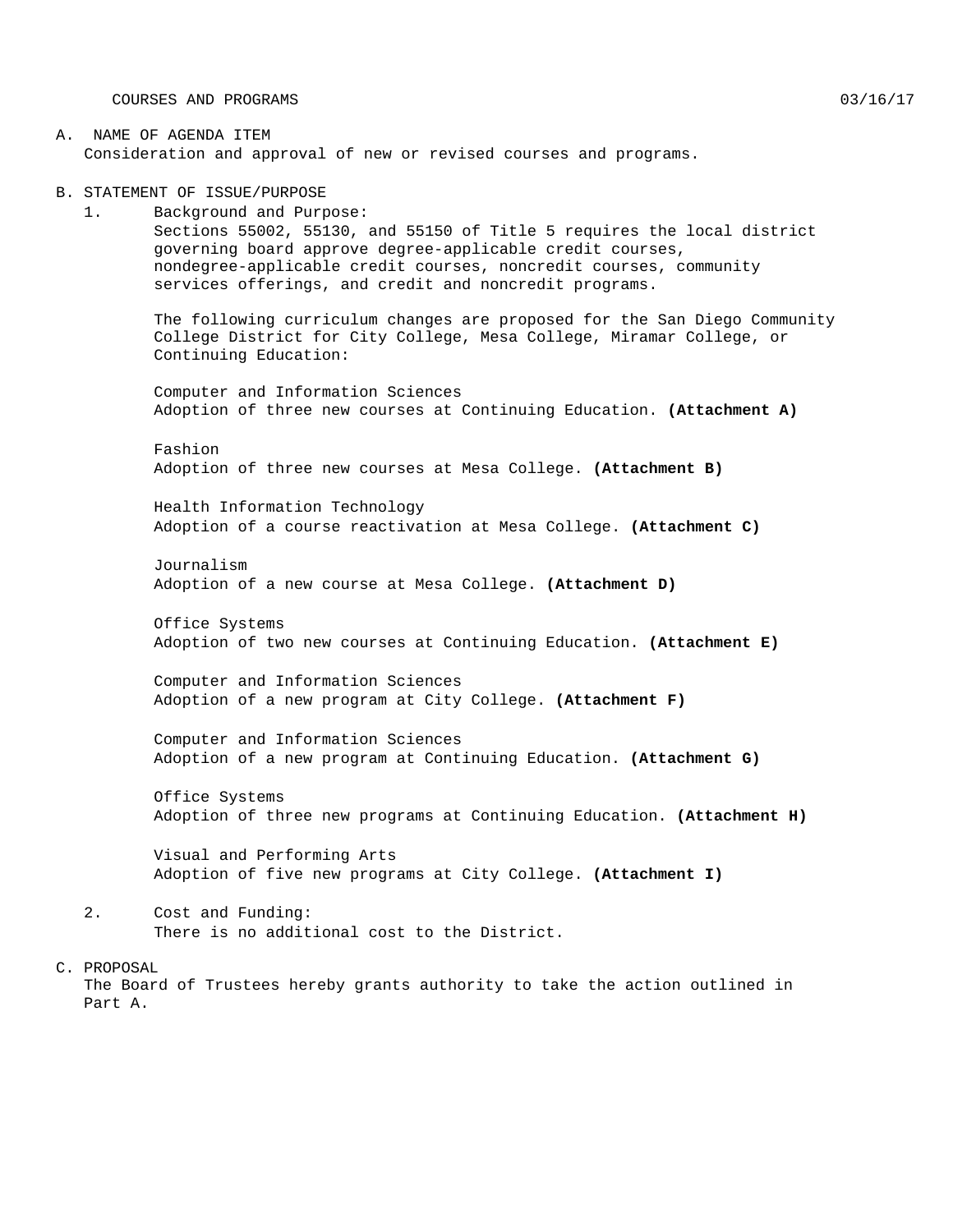COURSES AND PROGRAMS  $03/16/17$ 

#### A. NAME OF AGENDA ITEM Consideration and approval of new or revised courses and programs.

B. STATEMENT OF ISSUE/PURPOSE

1. Background and Purpose: Sections 55002, 55130, and 55150 of Title 5 requires the local district governing board approve degree-applicable credit courses, nondegree-applicable credit courses, noncredit courses, community services offerings, and credit and noncredit programs.

The following curriculum changes are proposed for the San Diego Community College District for City College, Mesa College, Miramar College, or Continuing Education:

Computer and Information Sciences Adoption of three new courses at Continuing Education. **(Attachment A)**

Fashion Adoption of three new courses at Mesa College. **(Attachment B)**

Health Information Technology Adoption of a course reactivation at Mesa College. **(Attachment C)**

Journalism Adoption of a new course at Mesa College. **(Attachment D)**

Office Systems Adoption of two new courses at Continuing Education. **(Attachment E)**

Computer and Information Sciences Adoption of a new program at City College. **(Attachment F)**

Computer and Information Sciences Adoption of a new program at Continuing Education. **(Attachment G)**

Office Systems Adoption of three new programs at Continuing Education. **(Attachment H)**

Visual and Performing Arts Adoption of five new programs at City College. **(Attachment I)**

- 2. Cost and Funding: There is no additional cost to the District.
- C. PROPOSAL

The Board of Trustees hereby grants authority to take the action outlined in Part A.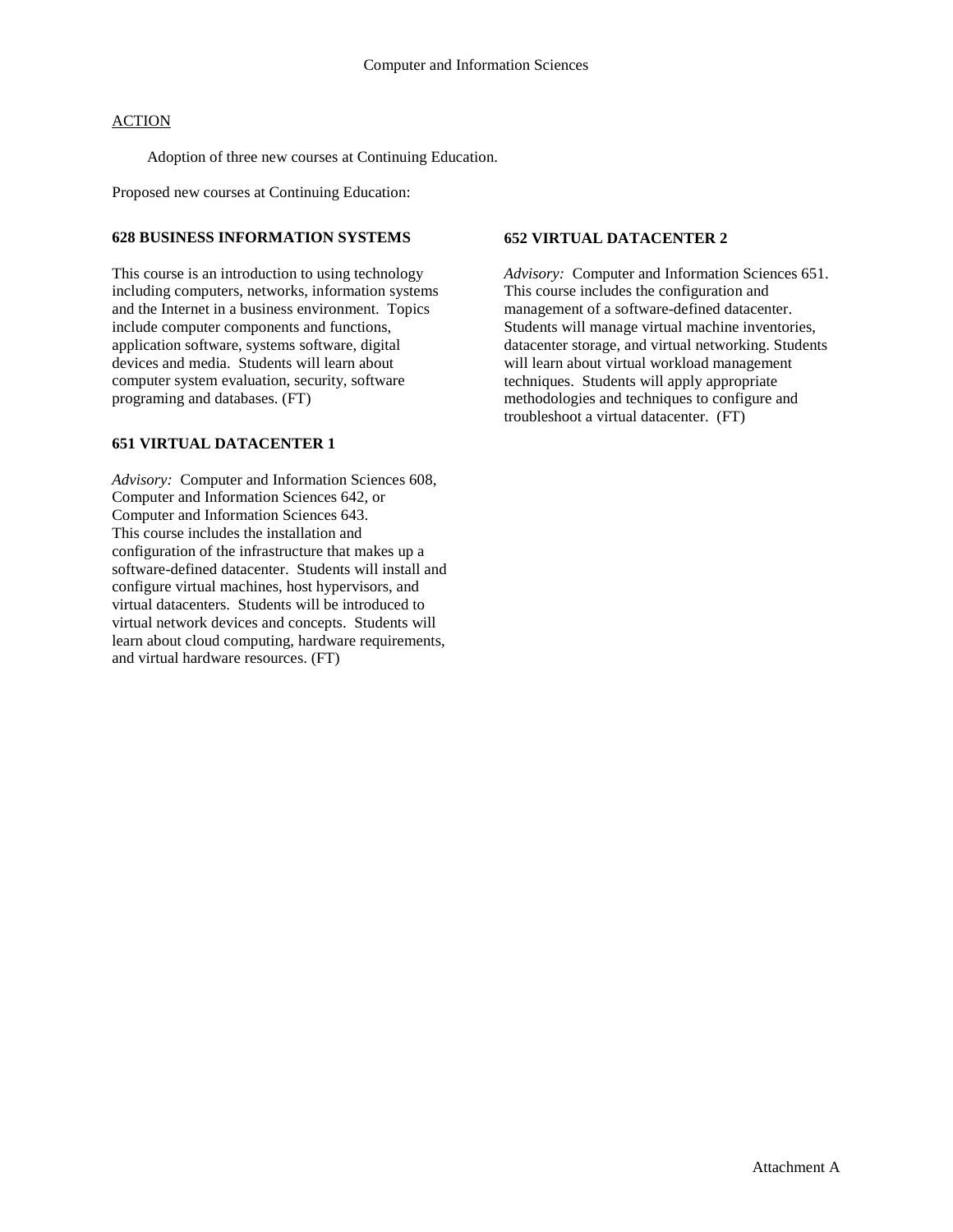Adoption of three new courses at Continuing Education.

Proposed new courses at Continuing Education:

#### **628 BUSINESS INFORMATION SYSTEMS**

This course is an introduction to using technology including computers, networks, information systems and the Internet in a business environment. Topics include computer components and functions, application software, systems software, digital devices and media. Students will learn about computer system evaluation, security, software programing and databases. (FT)

#### **651 VIRTUAL DATACENTER 1**

*Advisory:* Computer and Information Sciences 608, Computer and Information Sciences 642, or Computer and Information Sciences 643. This course includes the installation and configuration of the infrastructure that makes up a software-defined datacenter. Students will install and configure virtual machines, host hypervisors, and virtual datacenters. Students will be introduced to virtual network devices and concepts. Students will learn about cloud computing, hardware requirements, and virtual hardware resources. (FT)

#### **652 VIRTUAL DATACENTER 2**

*Advisory:* Computer and Information Sciences 651. This course includes the configuration and management of a software-defined datacenter. Students will manage virtual machine inventories, datacenter storage, and virtual networking. Students will learn about virtual workload management techniques. Students will apply appropriate methodologies and techniques to configure and troubleshoot a virtual datacenter. (FT)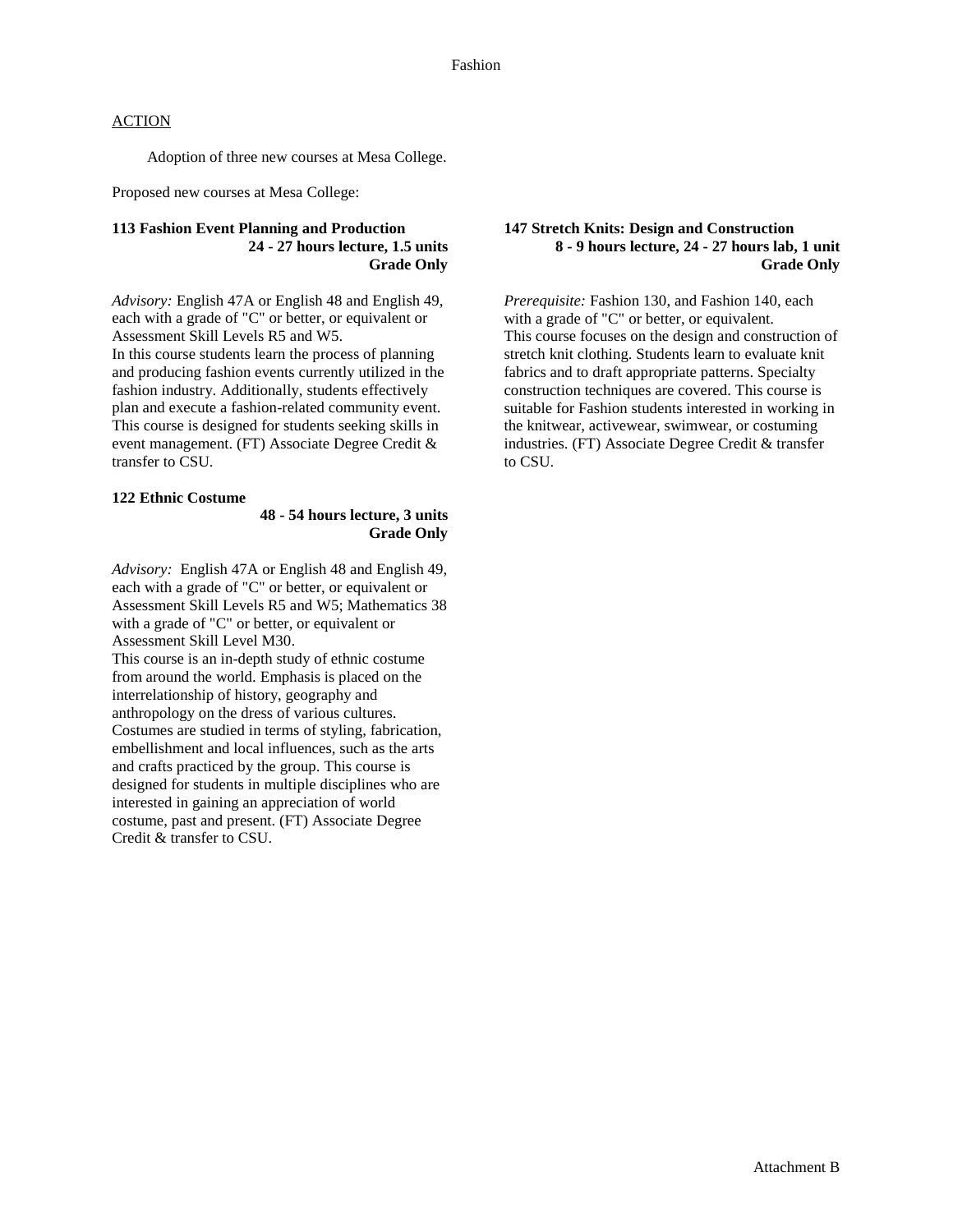Adoption of three new courses at Mesa College.

Proposed new courses at Mesa College:

#### **113 Fashion Event Planning and Production 24 - 27 hours lecture, 1.5 units Grade Only**

*Advisory:* English 47A or English 48 and English 49, each with a grade of "C" or better, or equivalent or Assessment Skill Levels R5 and W5. In this course students learn the process of planning and producing fashion events currently utilized in the fashion industry. Additionally, students effectively plan and execute a fashion-related community event. This course is designed for students seeking skills in event management. (FT) Associate Degree Credit & transfer to CSU.

#### **122 Ethnic Costume**

#### **48 - 54 hours lecture, 3 units Grade Only**

*Advisory:* English 47A or English 48 and English 49, each with a grade of "C" or better, or equivalent or Assessment Skill Levels R5 and W5; Mathematics 38 with a grade of "C" or better, or equivalent or Assessment Skill Level M30. This course is an in-depth study of ethnic costume

from around the world. Emphasis is placed on the interrelationship of history, geography and anthropology on the dress of various cultures. Costumes are studied in terms of styling, fabrication, embellishment and local influences, such as the arts and crafts practiced by the group. This course is designed for students in multiple disciplines who are interested in gaining an appreciation of world costume, past and present. (FT) Associate Degree Credit & transfer to CSU.

#### **147 Stretch Knits: Design and Construction 8 - 9 hours lecture, 24 - 27 hours lab, 1 unit Grade Only**

*Prerequisite:* Fashion 130, and Fashion 140, each with a grade of "C" or better, or equivalent. This course focuses on the design and construction of stretch knit clothing. Students learn to evaluate knit fabrics and to draft appropriate patterns. Specialty construction techniques are covered. This course is suitable for Fashion students interested in working in the knitwear, activewear, swimwear, or costuming industries. (FT) Associate Degree Credit & transfer to CSU.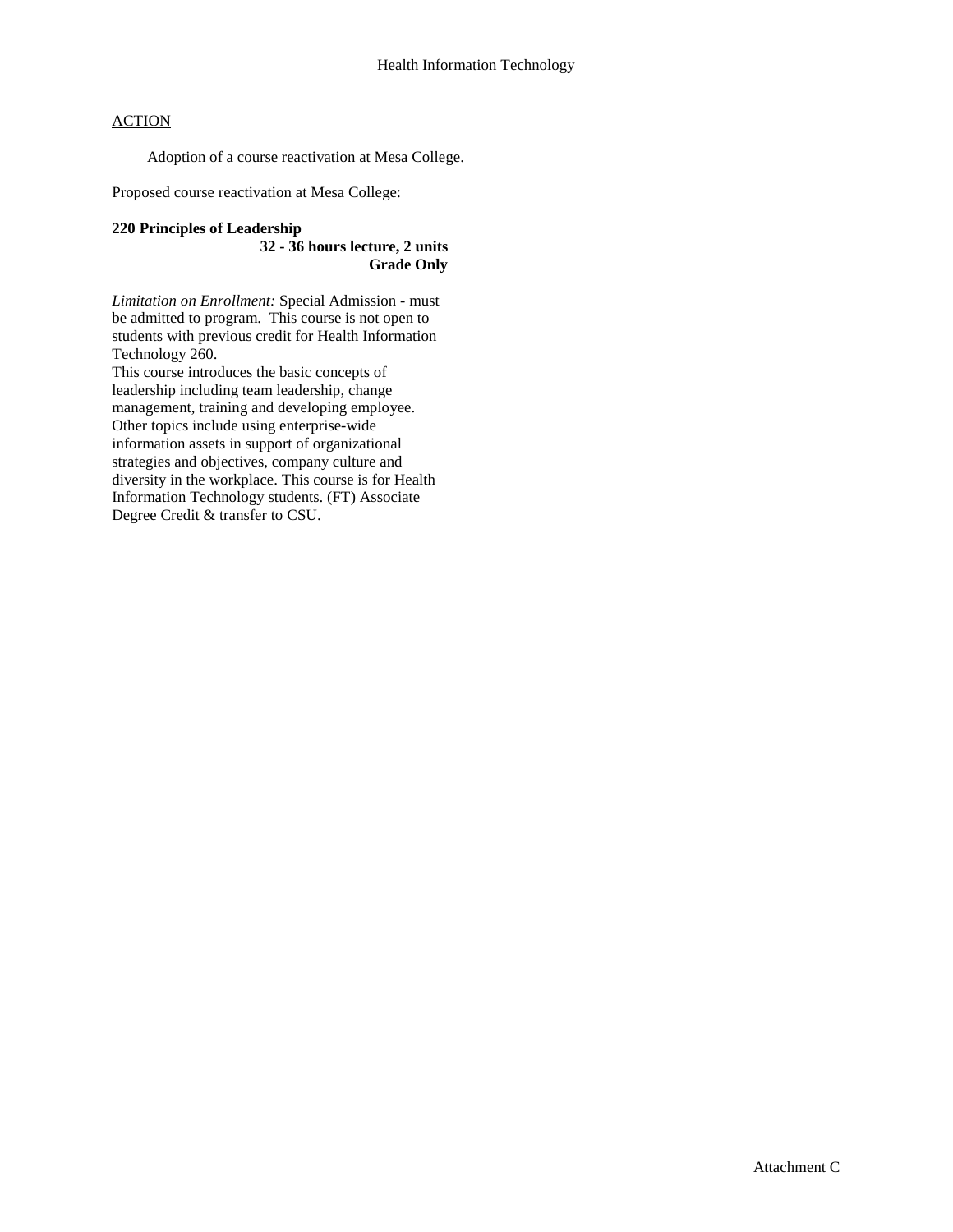Adoption of a course reactivation at Mesa College.

Proposed course reactivation at Mesa College:

#### **220 Principles of Leadership**

**32 - 36 hours lecture, 2 units Grade Only**

*Limitation on Enrollment:* Special Admission - must be admitted to program. This course is not open to students with previous credit for Health Information Technology 260.

This course introduces the basic concepts of leadership including team leadership, change management, training and developing employee. Other topics include using enterprise-wide information assets in support of organizational strategies and objectives, company culture and diversity in the workplace. This course is for Health Information Technology students. (FT) Associate Degree Credit & transfer to CSU.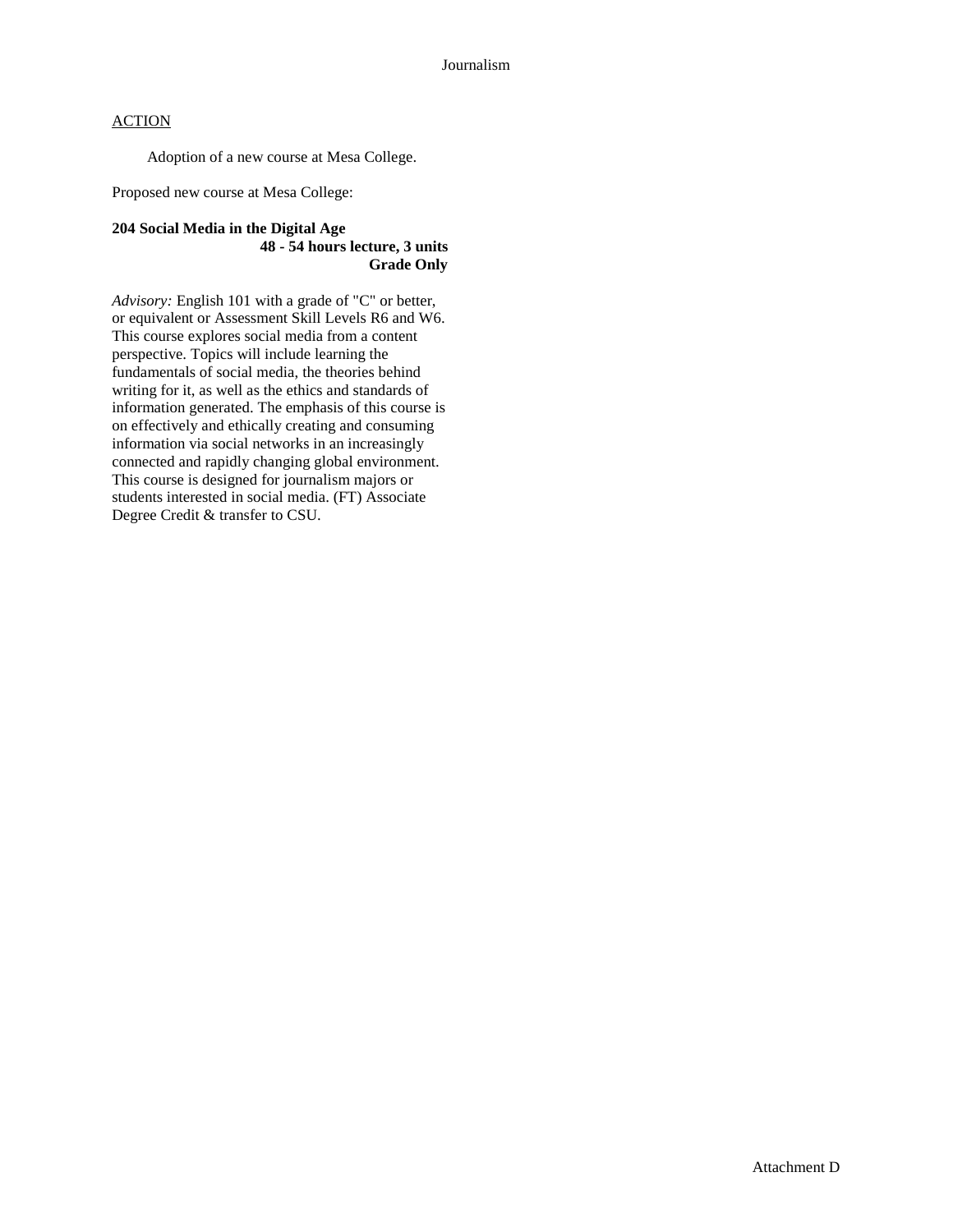Adoption of a new course at Mesa College.

Proposed new course at Mesa College:

#### **204 Social Media in the Digital Age 48 - 54 hours lecture, 3 units Grade Only**

*Advisory:* English 101 with a grade of "C" or better, or equivalent or Assessment Skill Levels R6 and W6. This course explores social media from a content perspective. Topics will include learning the fundamentals of social media, the theories behind writing for it, as well as the ethics and standards of information generated. The emphasis of this course is on effectively and ethically creating and consuming information via social networks in an increasingly connected and rapidly changing global environment. This course is designed for journalism majors or students interested in social media. (FT) Associate Degree Credit & transfer to CSU.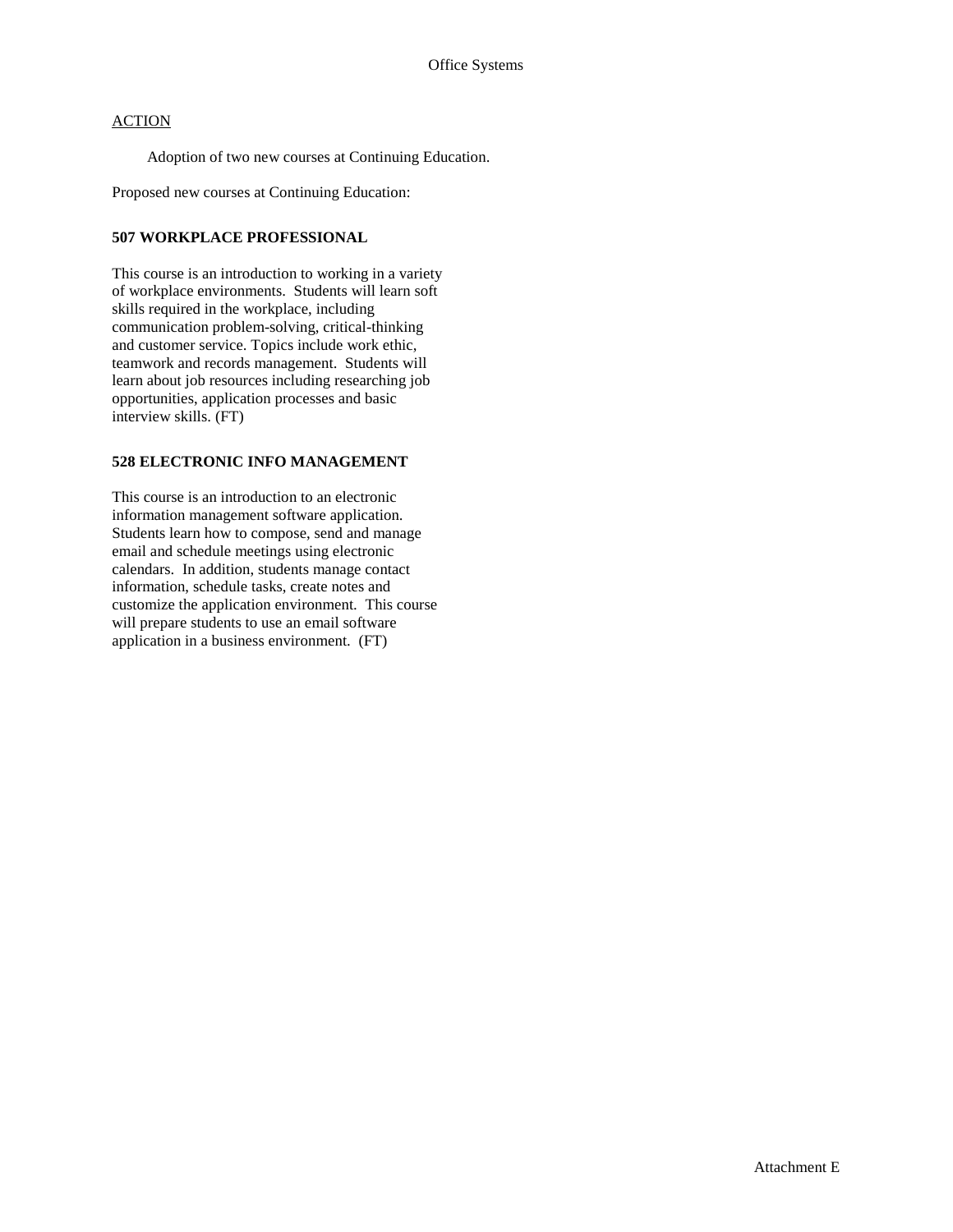Adoption of two new courses at Continuing Education.

Proposed new courses at Continuing Education:

#### **507 WORKPLACE PROFESSIONAL**

This course is an introduction to working in a variety of workplace environments. Students will learn soft skills required in the workplace, including communication problem-solving, critical-thinking and customer service. Topics include work ethic, teamwork and records management. Students will learn about job resources including researching job opportunities, application processes and basic interview skills. (FT)

### **528 ELECTRONIC INFO MANAGEMENT**

This course is an introduction to an electronic information management software application. Students learn how to compose, send and manage email and schedule meetings using electronic calendars. In addition, students manage contact information, schedule tasks, create notes and customize the application environment. This course will prepare students to use an email software application in a business environment. (FT)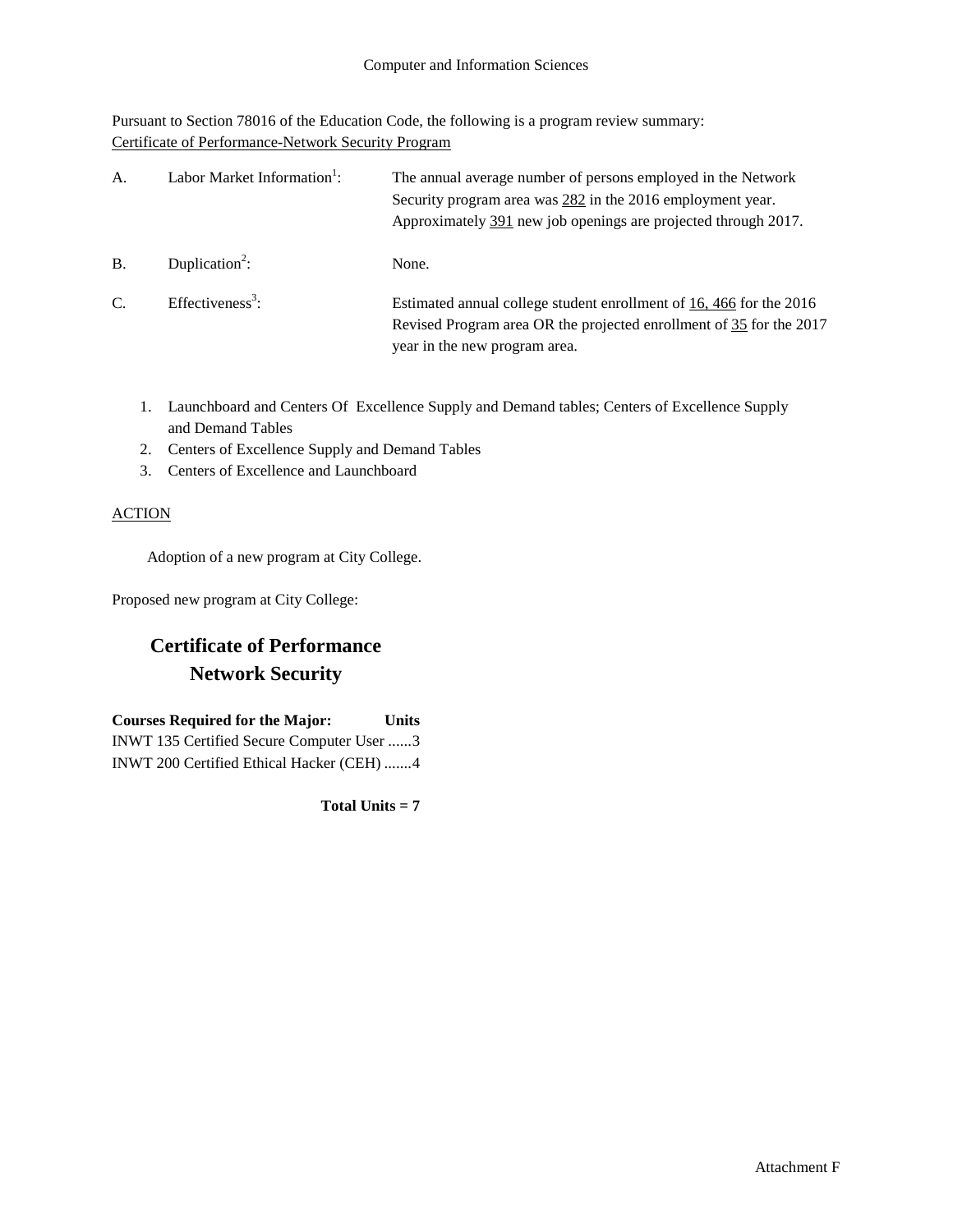Pursuant to Section 78016 of the Education Code, the following is a program review summary: Certificate of Performance-Network Security Program

| А.            | Labor Market Information <sup>1</sup> : | The annual average number of persons employed in the Network<br>Security program area was 282 in the 2016 employment year.<br>Approximately 391 new job openings are projected through 2017. |
|---------------|-----------------------------------------|----------------------------------------------------------------------------------------------------------------------------------------------------------------------------------------------|
| <b>B.</b>     | Duplication <sup>2</sup> :              | None.                                                                                                                                                                                        |
| $\mathcal{C}$ | Effectiveness <sup>3</sup> :            | Estimated annual college student enrollment of 16, 466 for the 2016<br>Revised Program area OR the projected enrollment of 35 for the 2017<br>year in the new program area.                  |

- 1. Launchboard and Centers Of Excellence Supply and Demand tables; Centers of Excellence Supply and Demand Tables
- 2. Centers of Excellence Supply and Demand Tables
- 3. Centers of Excellence and Launchboard

### **ACTION**

Adoption of a new program at City College.

Proposed new program at City College:

## **Certificate of Performance Network Security**

**Courses Required for the Major: Units** INWT 135 Certified Secure Computer User ......3 INWT 200 Certified Ethical Hacker (CEH) .......4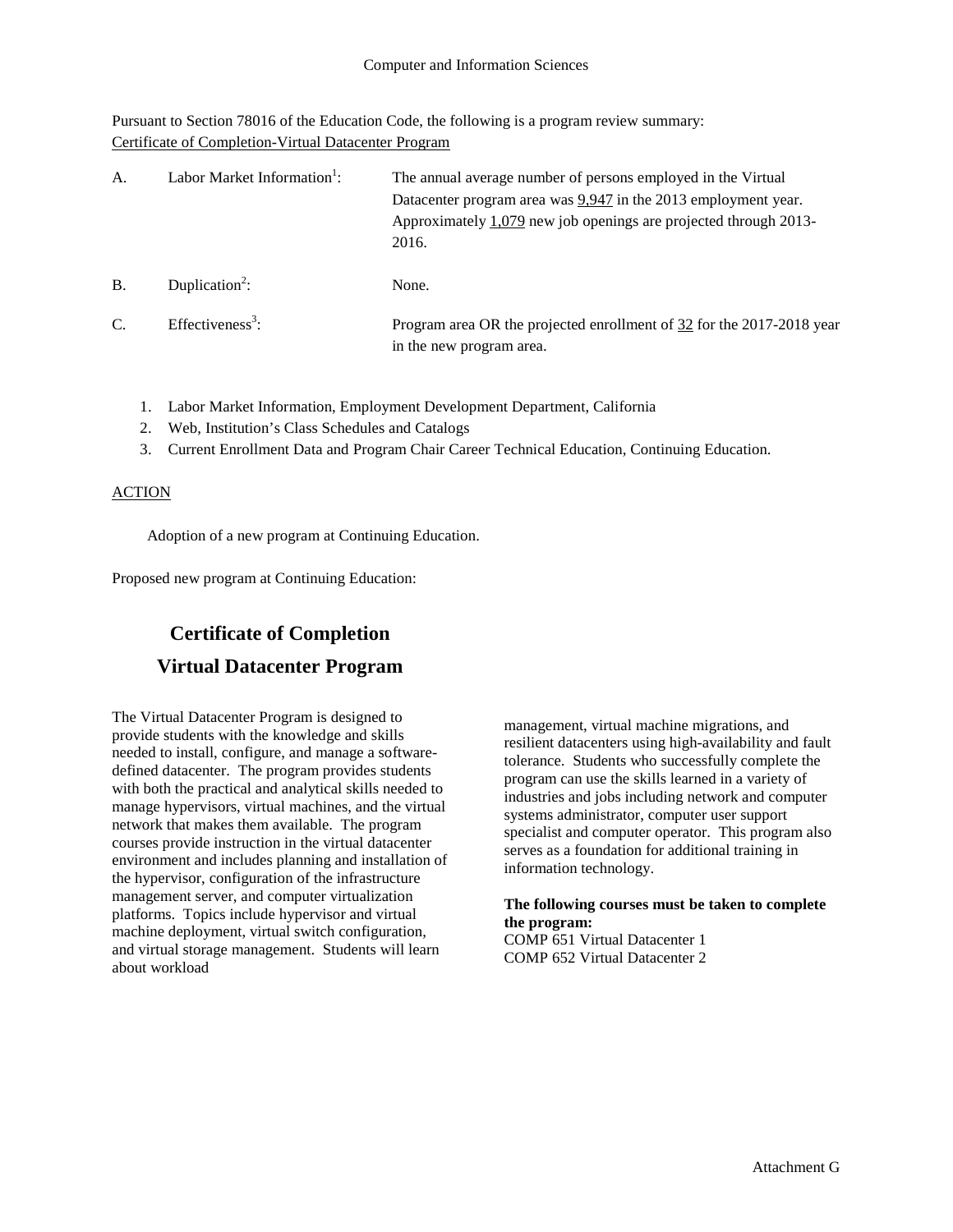Pursuant to Section 78016 of the Education Code, the following is a program review summary: Certificate of Completion-Virtual Datacenter Program

| A.            | Labor Market Information <sup>1</sup> : | The annual average number of persons employed in the Virtual<br>Datacenter program area was 9,947 in the 2013 employment year.<br>Approximately $1,079$ new job openings are projected through 2013-<br>2016. |
|---------------|-----------------------------------------|---------------------------------------------------------------------------------------------------------------------------------------------------------------------------------------------------------------|
| <b>B.</b>     | Duplication <sup>2</sup> :              | None.                                                                                                                                                                                                         |
| $\mathcal{C}$ | Effectiveness <sup>3</sup> :            | Program area OR the projected enrollment of 32 for the 2017-2018 year<br>in the new program area.                                                                                                             |

- 1. Labor Market Information, Employment Development Department, California
- 2. Web, Institution's Class Schedules and Catalogs
- 3. Current Enrollment Data and Program Chair Career Technical Education, Continuing Education.

#### ACTION

Adoption of a new program at Continuing Education.

Proposed new program at Continuing Education:

# **Certificate of Completion Virtual Datacenter Program**

The Virtual Datacenter Program is designed to provide students with the knowledge and skills needed to install, configure, and manage a softwaredefined datacenter. The program provides students with both the practical and analytical skills needed to manage hypervisors, virtual machines, and the virtual network that makes them available. The program courses provide instruction in the virtual datacenter environment and includes planning and installation of the hypervisor, configuration of the infrastructure management server, and computer virtualization platforms. Topics include hypervisor and virtual machine deployment, virtual switch configuration, and virtual storage management. Students will learn about workload

management, virtual machine migrations, and resilient datacenters using high-availability and fault tolerance. Students who successfully complete the program can use the skills learned in a variety of industries and jobs including network and computer systems administrator, computer user support specialist and computer operator. This program also serves as a foundation for additional training in information technology.

## **The following courses must be taken to complete the program:**

COMP 651 Virtual Datacenter 1 COMP 652 Virtual Datacenter 2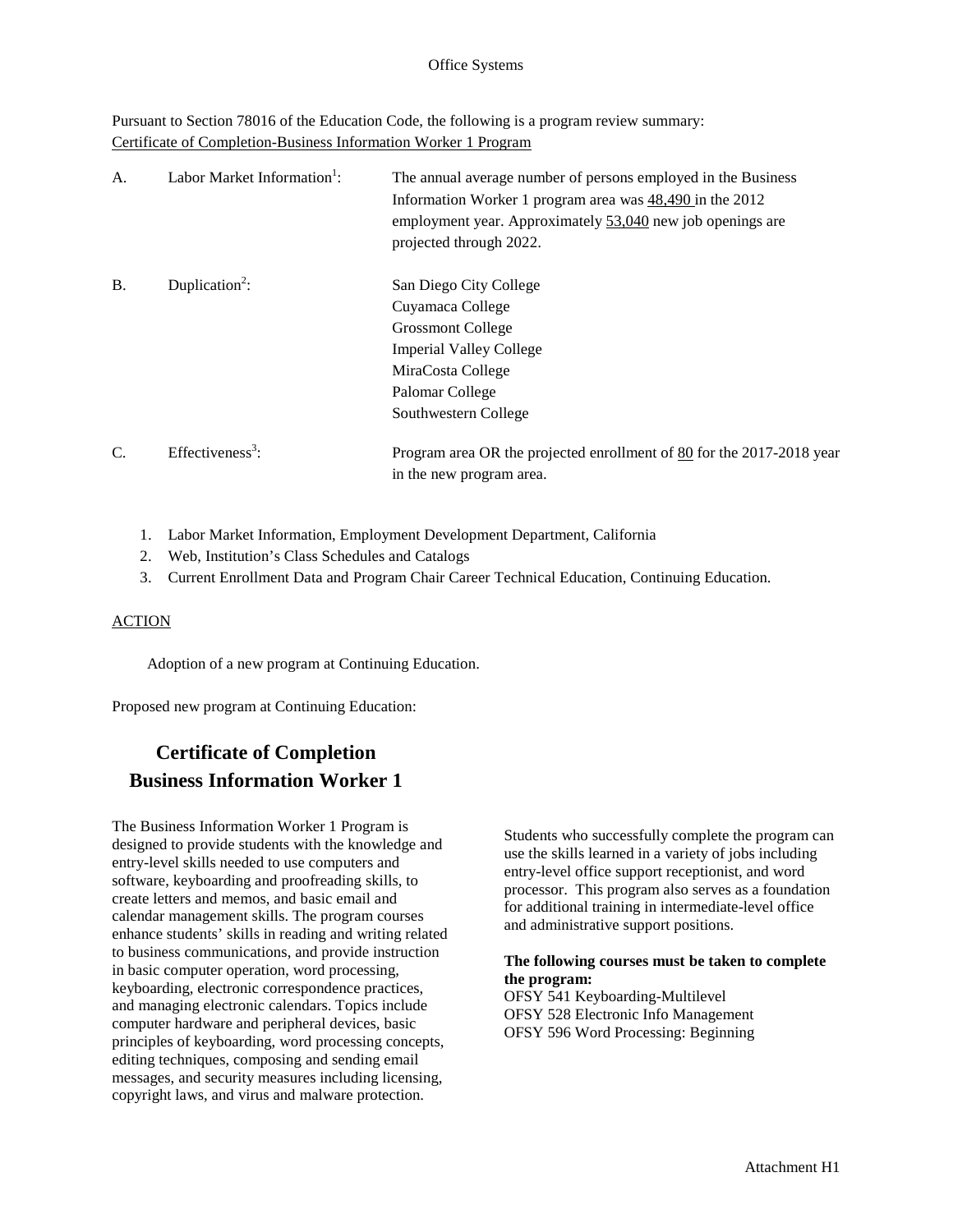Pursuant to Section 78016 of the Education Code, the following is a program review summary: Certificate of Completion-Business Information Worker 1 Program

| A.        | Labor Market Information <sup>1</sup> : | The annual average number of persons employed in the Business<br>Information Worker 1 program area was $48,490$ in the 2012<br>employment year. Approximately 53,040 new job openings are<br>projected through 2022. |
|-----------|-----------------------------------------|----------------------------------------------------------------------------------------------------------------------------------------------------------------------------------------------------------------------|
| <b>B.</b> | Duplication <sup>2</sup> :              | San Diego City College<br>Cuyamaca College<br><b>Grossmont College</b><br><b>Imperial Valley College</b><br>MiraCosta College<br>Palomar College<br>Southwestern College                                             |
| C.        | Effectiveness <sup>3</sup> :            | Program area OR the projected enrollment of 80 for the 2017-2018 year<br>in the new program area.                                                                                                                    |

- 1. Labor Market Information, Employment Development Department, California
- 2. Web, Institution's Class Schedules and Catalogs
- 3. Current Enrollment Data and Program Chair Career Technical Education, Continuing Education.

#### **ACTION**

Adoption of a new program at Continuing Education.

Proposed new program at Continuing Education:

## **Certificate of Completion Business Information Worker 1**

The Business Information Worker 1 Program is designed to provide students with the knowledge and entry-level skills needed to use computers and software, keyboarding and proofreading skills, to create letters and memos, and basic email and calendar management skills. The program courses enhance students' skills in reading and writing related to business communications, and provide instruction in basic computer operation, word processing, keyboarding, electronic correspondence practices, and managing electronic calendars. Topics include computer hardware and peripheral devices, basic principles of keyboarding, word processing concepts, editing techniques, composing and sending email messages, and security measures including licensing, copyright laws, and virus and malware protection.

Students who successfully complete the program can use the skills learned in a variety of jobs including entry-level office support receptionist, and word processor. This program also serves as a foundation for additional training in intermediate-level office and administrative support positions.

#### **The following courses must be taken to complete the program:**

OFSY 541 Keyboarding-Multilevel OFSY 528 Electronic Info Management OFSY 596 Word Processing: Beginning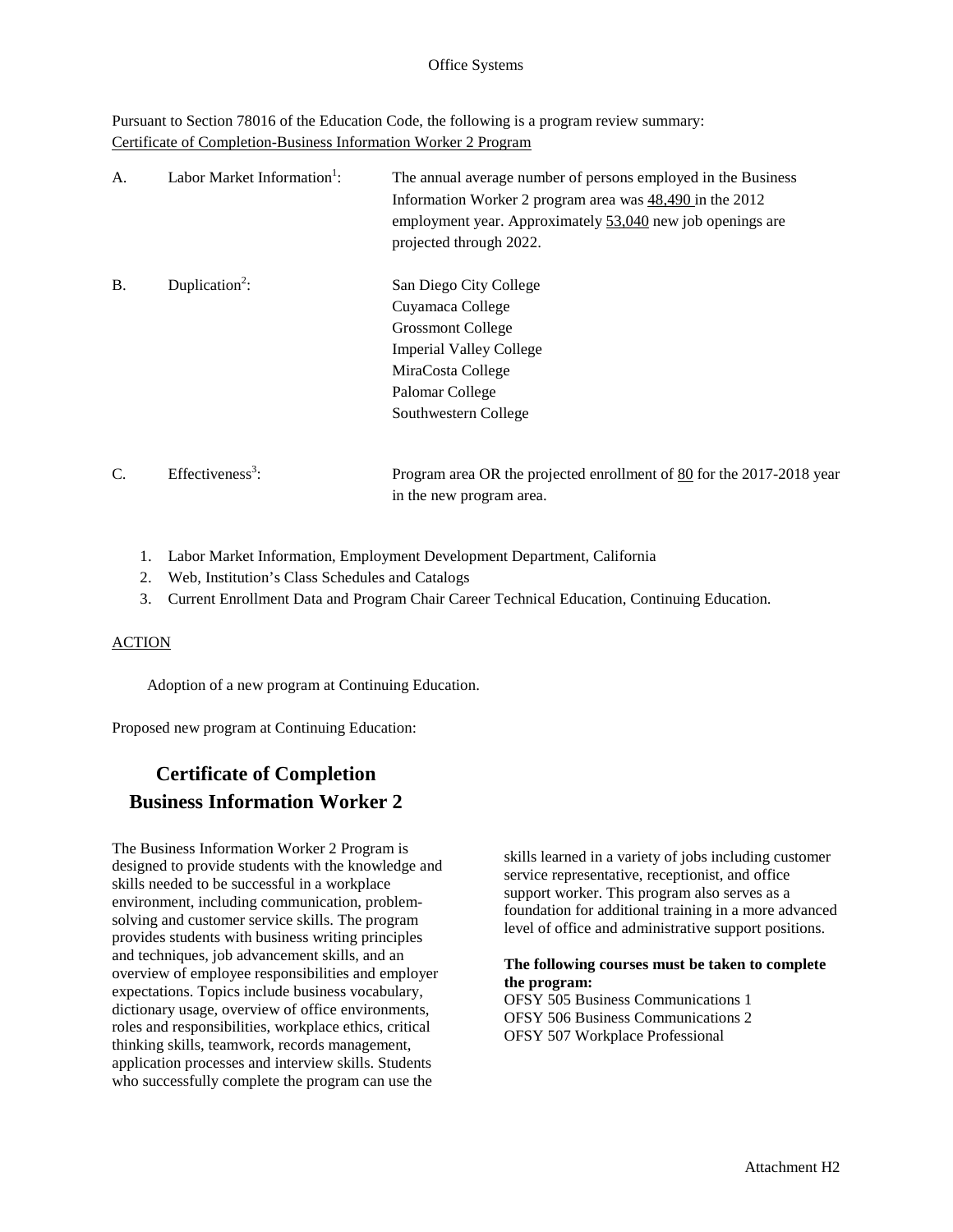Pursuant to Section 78016 of the Education Code, the following is a program review summary: Certificate of Completion-Business Information Worker 2 Program

| A.        | Labor Market Information <sup>1</sup> : | The annual average number of persons employed in the Business<br>Information Worker 2 program area was $48,490$ in the 2012<br>employment year. Approximately 53,040 new job openings are<br>projected through 2022. |
|-----------|-----------------------------------------|----------------------------------------------------------------------------------------------------------------------------------------------------------------------------------------------------------------------|
| <b>B.</b> | Duplication <sup>2</sup> :              | San Diego City College<br>Cuyamaca College<br><b>Grossmont College</b><br><b>Imperial Valley College</b><br>MiraCosta College<br>Palomar College<br>Southwestern College                                             |
| C.        | Effectiveness <sup>3</sup> :            | Program area OR the projected enrollment of 80 for the 2017-2018 year<br>in the new program area.                                                                                                                    |

- 1. Labor Market Information, Employment Development Department, California
- 2. Web, Institution's Class Schedules and Catalogs
- 3. Current Enrollment Data and Program Chair Career Technical Education, Continuing Education.

#### ACTION

Adoption of a new program at Continuing Education.

Proposed new program at Continuing Education:

## **Certificate of Completion Business Information Worker 2**

The Business Information Worker 2 Program is designed to provide students with the knowledge and skills needed to be successful in a workplace environment, including communication, problemsolving and customer service skills. The program provides students with business writing principles and techniques, job advancement skills, and an overview of employee responsibilities and employer expectations. Topics include business vocabulary, dictionary usage, overview of office environments, roles and responsibilities, workplace ethics, critical thinking skills, teamwork, records management, application processes and interview skills. Students who successfully complete the program can use the

skills learned in a variety of jobs including customer service representative, receptionist, and office support worker. This program also serves as a foundation for additional training in a more advanced level of office and administrative support positions.

#### **The following courses must be taken to complete the program:**

OFSY 505 Business Communications 1 OFSY 506 Business Communications 2 OFSY 507 Workplace Professional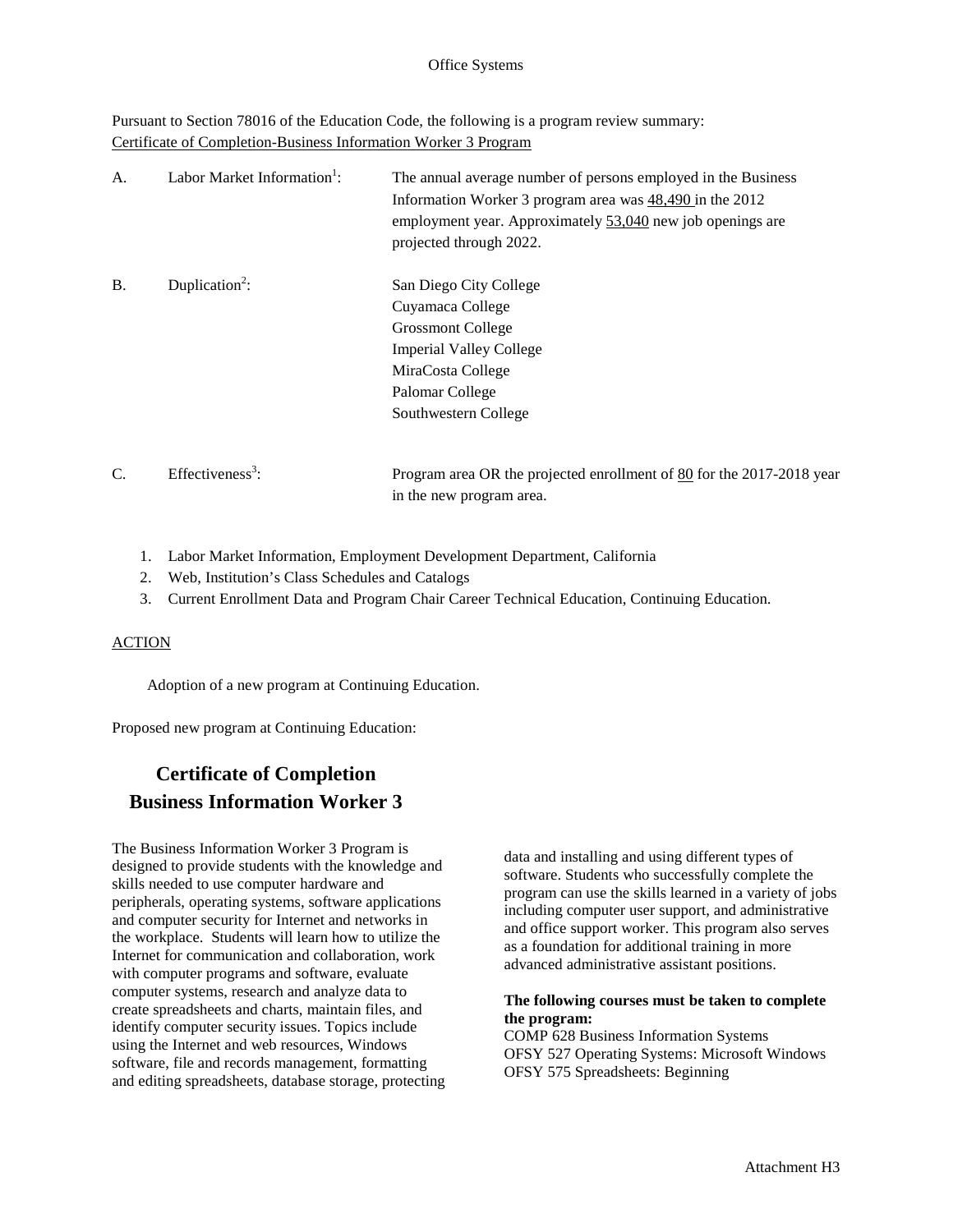Pursuant to Section 78016 of the Education Code, the following is a program review summary: Certificate of Completion-Business Information Worker 3 Program

| A.        | Labor Market Information <sup>1</sup> : | The annual average number of persons employed in the Business<br>Information Worker 3 program area was $48,490$ in the 2012<br>employment year. Approximately 53,040 new job openings are<br>projected through 2022. |
|-----------|-----------------------------------------|----------------------------------------------------------------------------------------------------------------------------------------------------------------------------------------------------------------------|
| <b>B.</b> | Duplication <sup>2</sup> :              | San Diego City College<br>Cuyamaca College<br><b>Grossmont College</b><br><b>Imperial Valley College</b><br>MiraCosta College<br>Palomar College<br>Southwestern College                                             |
| C.        | Effectiveness <sup>3</sup> :            | Program area OR the projected enrollment of 80 for the 2017-2018 year<br>in the new program area.                                                                                                                    |

- 1. Labor Market Information, Employment Development Department, California
- 2. Web, Institution's Class Schedules and Catalogs
- 3. Current Enrollment Data and Program Chair Career Technical Education, Continuing Education.

#### ACTION

Adoption of a new program at Continuing Education.

Proposed new program at Continuing Education:

## **Certificate of Completion Business Information Worker 3**

The Business Information Worker 3 Program is designed to provide students with the knowledge and skills needed to use computer hardware and peripherals, operating systems, software applications and computer security for Internet and networks in the workplace. Students will learn how to utilize the Internet for communication and collaboration, work with computer programs and software, evaluate computer systems, research and analyze data to create spreadsheets and charts, maintain files, and identify computer security issues. Topics include using the Internet and web resources, Windows software, file and records management, formatting and editing spreadsheets, database storage, protecting

data and installing and using different types of software. Students who successfully complete the program can use the skills learned in a variety of jobs including computer user support, and administrative and office support worker. This program also serves as a foundation for additional training in more advanced administrative assistant positions.

#### **The following courses must be taken to complete the program:**

COMP 628 Business Information Systems OFSY 527 Operating Systems: Microsoft Windows OFSY 575 Spreadsheets: Beginning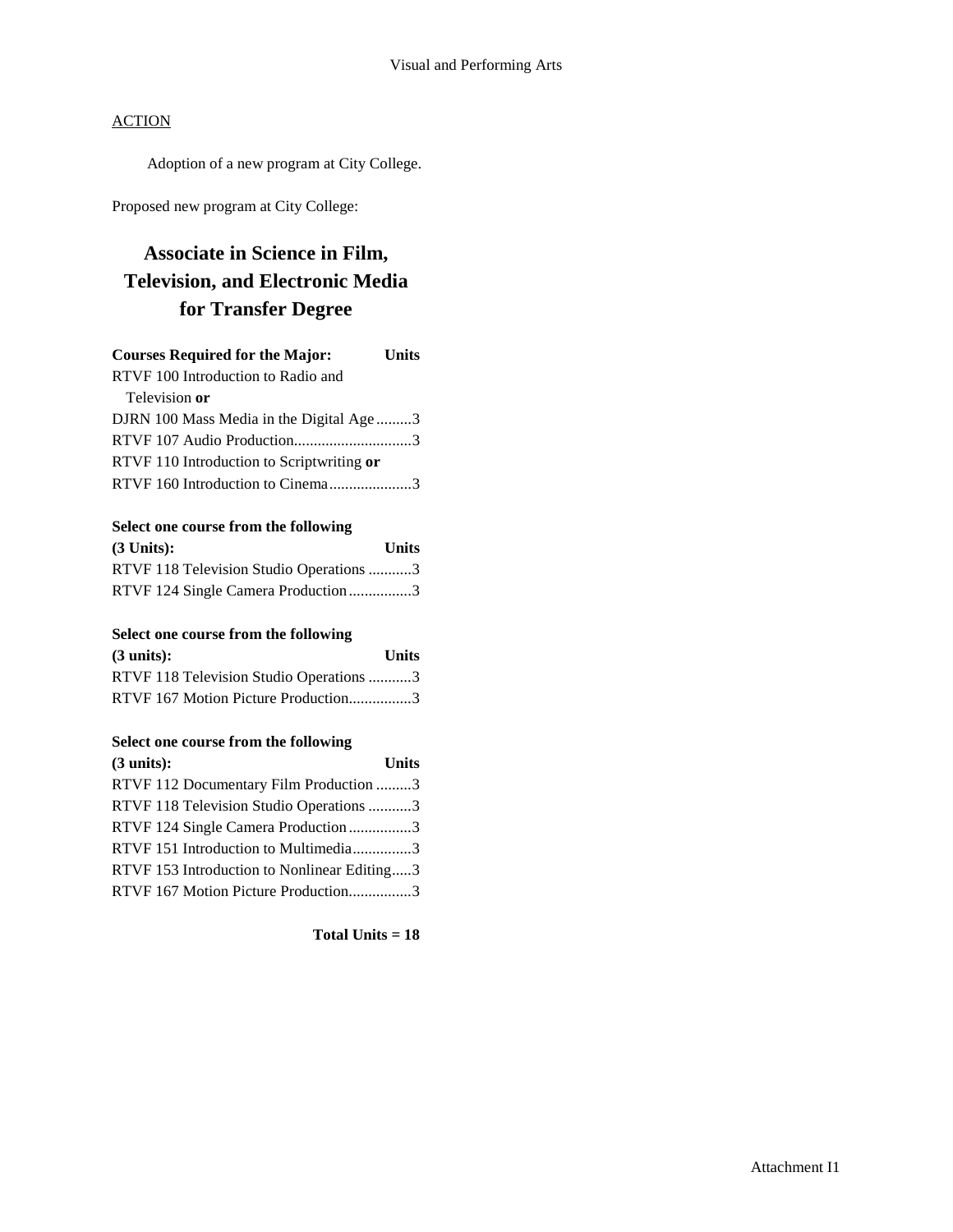Adoption of a new program at City College.

Proposed new program at City College:

## **Associate in Science in Film, Television, and Electronic Media for Transfer Degree**

| <b>Courses Required for the Major:</b>    | <b>Units</b> |
|-------------------------------------------|--------------|
| RTVF 100 Introduction to Radio and        |              |
| Television or                             |              |
| DJRN 100 Mass Media in the Digital Age 3  |              |
| RTVF 107 Audio Production3                |              |
| RTVF 110 Introduction to Scriptwriting or |              |
| RTVF 160 Introduction to Cinema3          |              |
|                                           |              |

#### **Select one course from the following**

| $(3$ Units:                             | <b>Units</b> |
|-----------------------------------------|--------------|
| RTVF 118 Television Studio Operations 3 |              |
| RTVF 124 Single Camera Production3      |              |

### **Select one course from the following**

| $(3 \text{ units})$ :                   | <b>Units</b> |
|-----------------------------------------|--------------|
| RTVF 118 Television Studio Operations 3 |              |
| RTVF 167 Motion Picture Production3     |              |

### **Select one course from the following**

| (3 units):                                  | <b>Units</b> |
|---------------------------------------------|--------------|
| RTVF 112 Documentary Film Production 3      |              |
| RTVF 118 Television Studio Operations 3     |              |
| RTVF 124 Single Camera Production3          |              |
| RTVF 151 Introduction to Multimedia3        |              |
| RTVF 153 Introduction to Nonlinear Editing3 |              |
| RTVF 167 Motion Picture Production3         |              |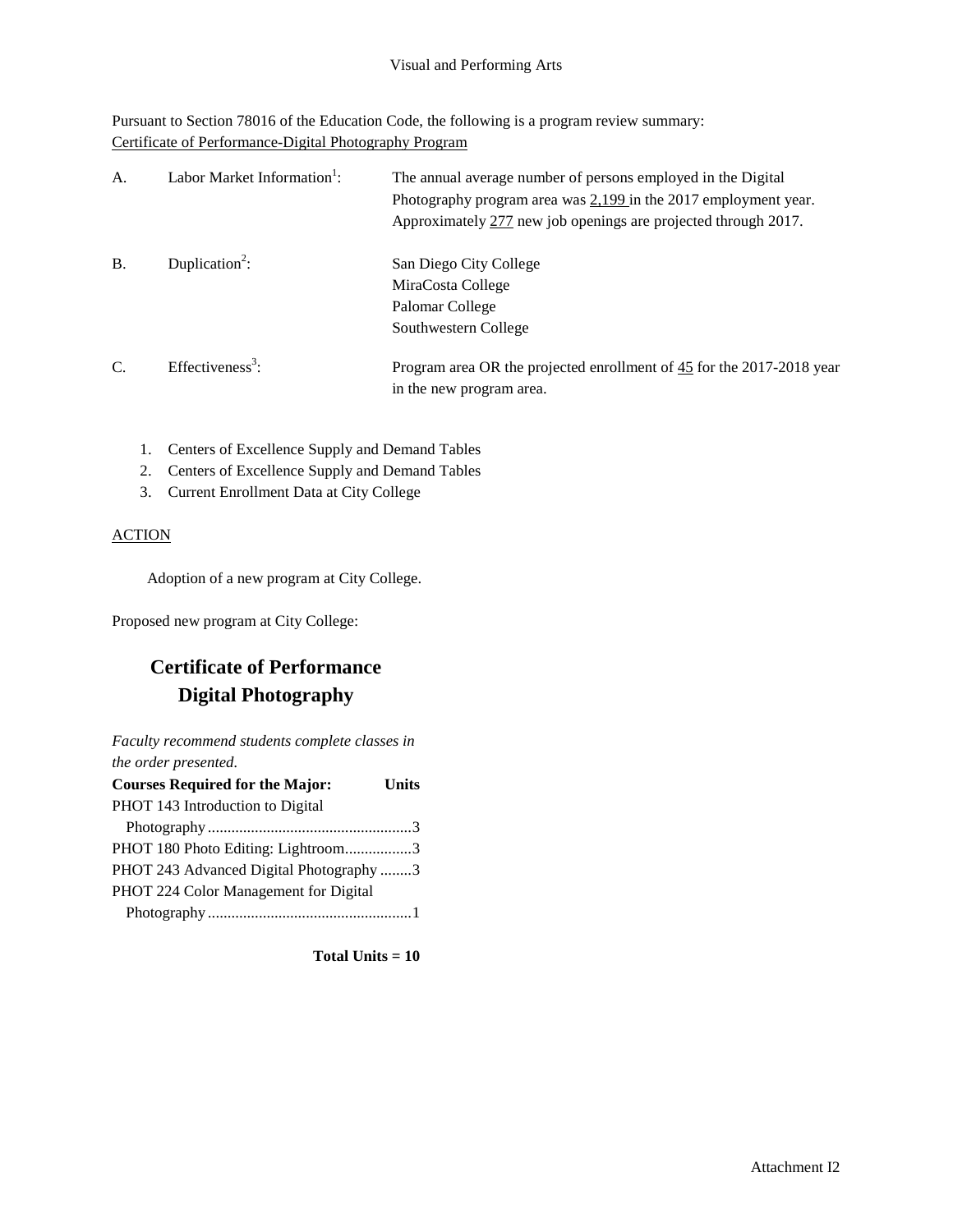Pursuant to Section 78016 of the Education Code, the following is a program review summary: Certificate of Performance-Digital Photography Program

| A.        | Labor Market Information <sup>1</sup> : | The annual average number of persons employed in the Digital<br>Photography program area was $2,199$ in the 2017 employment year.<br>Approximately 277 new job openings are projected through 2017. |
|-----------|-----------------------------------------|-----------------------------------------------------------------------------------------------------------------------------------------------------------------------------------------------------|
| <b>B.</b> | Duplication <sup>2</sup> :              | San Diego City College<br>MiraCosta College<br>Palomar College<br>Southwestern College                                                                                                              |
| C.        | Effectiveness <sup>3</sup> :            | Program area OR the projected enrollment of 45 for the 2017-2018 year<br>in the new program area.                                                                                                   |

- 1. Centers of Excellence Supply and Demand Tables
- 2. Centers of Excellence Supply and Demand Tables
- 3. Current Enrollment Data at City College

## ACTION

Adoption of a new program at City College.

Proposed new program at City College:

## **Certificate of Performance Digital Photography**

*Faculty recommend students complete classes in the order presented.*

| <b>Courses Required for the Major:</b>  | Units |
|-----------------------------------------|-------|
| PHOT 143 Introduction to Digital        |       |
|                                         |       |
| PHOT 180 Photo Editing: Lightroom3      |       |
| PHOT 243 Advanced Digital Photography 3 |       |
| PHOT 224 Color Management for Digital   |       |
|                                         |       |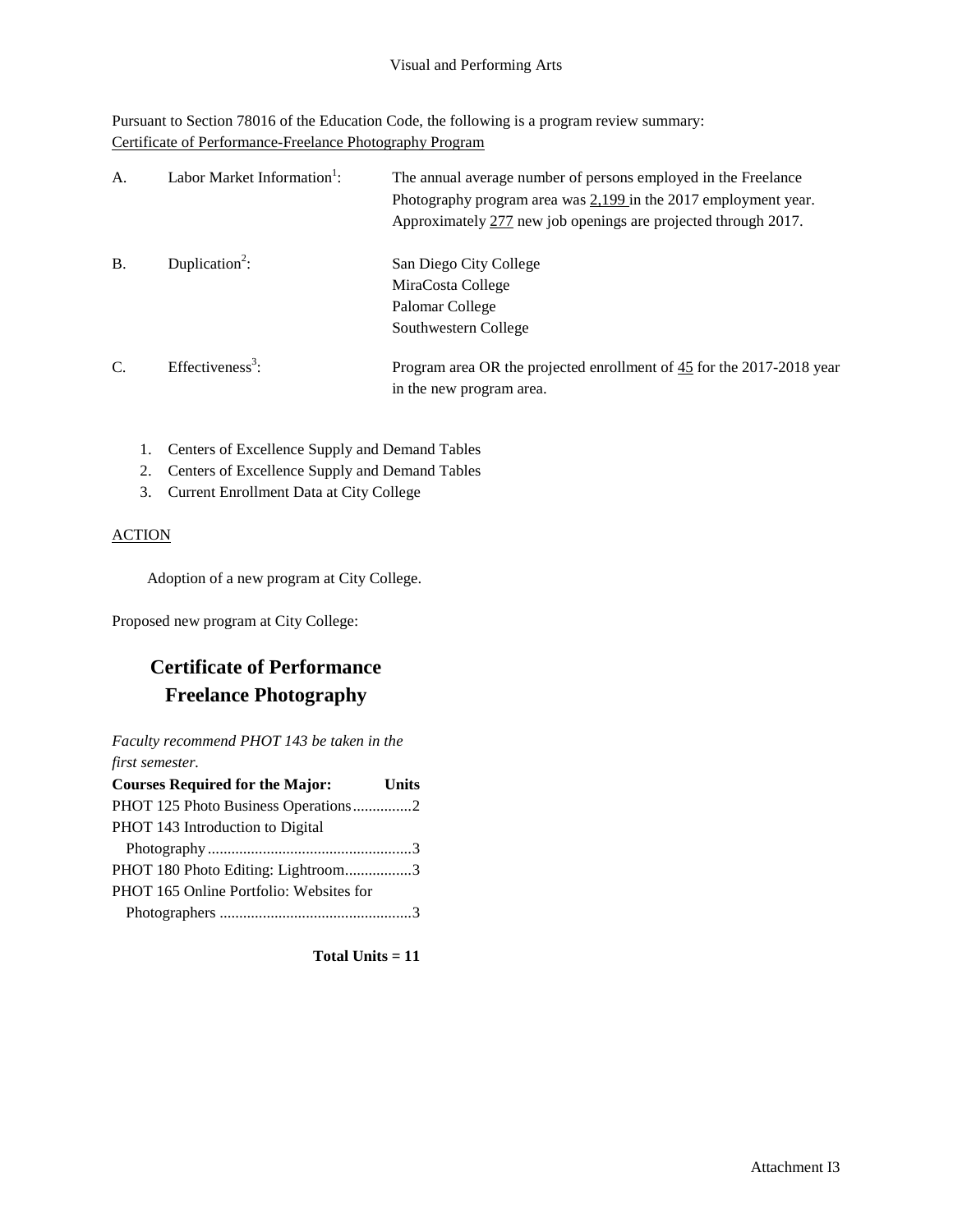Pursuant to Section 78016 of the Education Code, the following is a program review summary: Certificate of Performance-Freelance Photography Program

| A.        | Labor Market Information <sup>1</sup> : | The annual average number of persons employed in the Freelance<br>Photography program area was $2,199$ in the 2017 employment year.<br>Approximately 277 new job openings are projected through 2017. |
|-----------|-----------------------------------------|-------------------------------------------------------------------------------------------------------------------------------------------------------------------------------------------------------|
| <b>B.</b> | Duplication <sup>2</sup> :              | San Diego City College<br>MiraCosta College<br>Palomar College<br>Southwestern College                                                                                                                |
| C.        | Effectiveness <sup>3</sup> :            | Program area OR the projected enrollment of 45 for the 2017-2018 year<br>in the new program area.                                                                                                     |

- 1. Centers of Excellence Supply and Demand Tables
- 2. Centers of Excellence Supply and Demand Tables
- 3. Current Enrollment Data at City College

## ACTION

Adoption of a new program at City College.

Proposed new program at City College:

## **Certificate of Performance Freelance Photography**

*Faculty recommend PHOT 143 be taken in the first semester.*

| <b>Courses Required for the Major:</b>  | <b>Units</b> |
|-----------------------------------------|--------------|
| PHOT 125 Photo Business Operations2     |              |
| PHOT 143 Introduction to Digital        |              |
|                                         |              |
| PHOT 180 Photo Editing: Lightroom3      |              |
| PHOT 165 Online Portfolio: Websites for |              |
|                                         |              |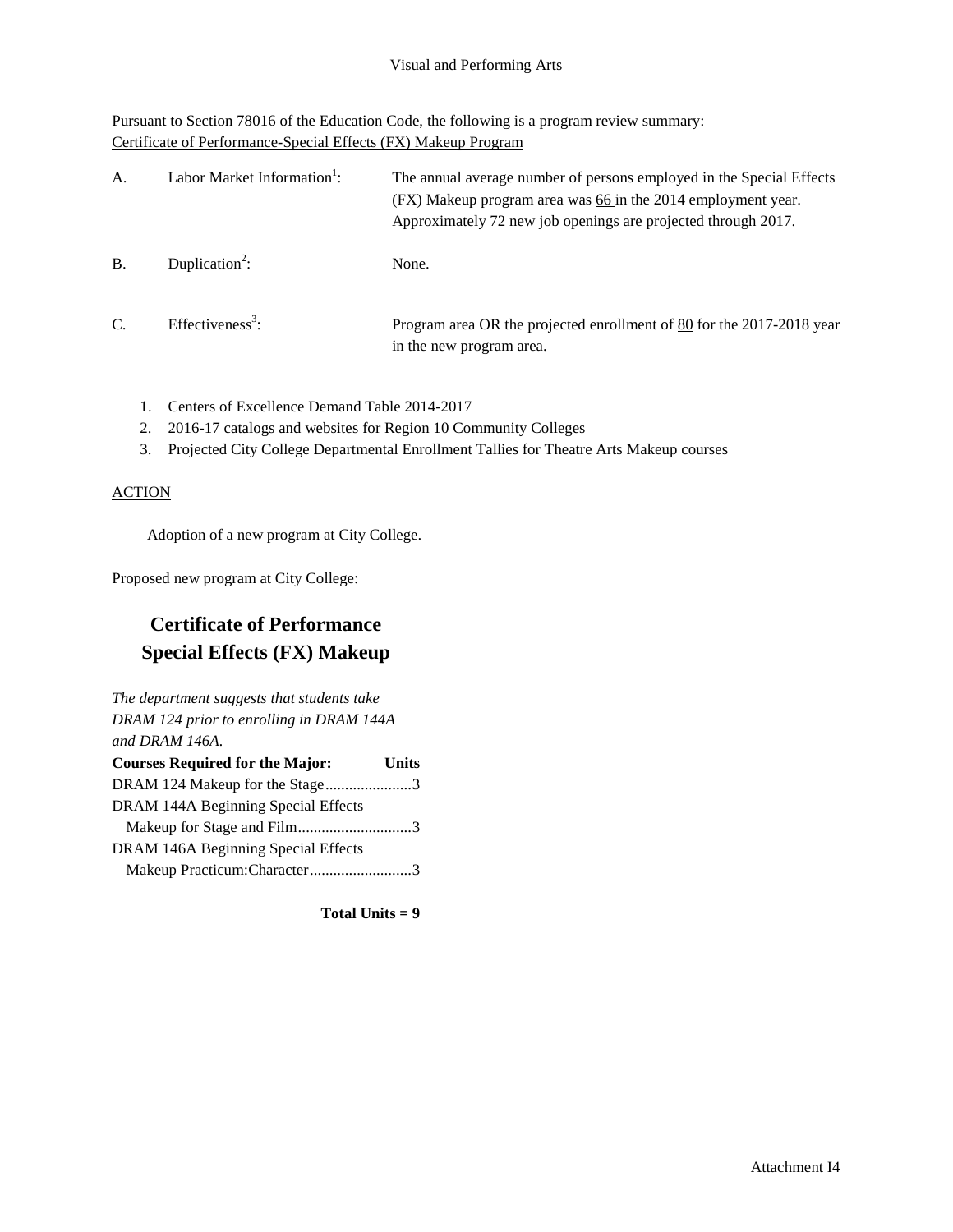Pursuant to Section 78016 of the Education Code, the following is a program review summary: Certificate of Performance-Special Effects (FX) Makeup Program

| A.            | Labor Market Information <sup>1</sup> : | The annual average number of persons employed in the Special Effects<br>(FX) Makeup program area was 66 in the 2014 employment year.<br>Approximately 72 new job openings are projected through 2017. |
|---------------|-----------------------------------------|-------------------------------------------------------------------------------------------------------------------------------------------------------------------------------------------------------|
| B             | Duplication <sup>2</sup> :              | None.                                                                                                                                                                                                 |
| $\mathcal{C}$ | Effectiveness <sup>3</sup> :            | Program area OR the projected enrollment of 80 for the 2017-2018 year<br>in the new program area.                                                                                                     |

- 1. Centers of Excellence Demand Table 2014-2017
- 2. 2016-17 catalogs and websites for Region 10 Community Colleges
- 3. Projected City College Departmental Enrollment Tallies for Theatre Arts Makeup courses

## **ACTION**

Adoption of a new program at City College.

Proposed new program at City College:

## **Certificate of Performance Special Effects (FX) Makeup**

*The department suggests that students take DRAM 124 prior to enrolling in DRAM 144A and DRAM 146A.*

| <b>Courses Required for the Major:</b> | <b>Units</b> |
|----------------------------------------|--------------|
| DRAM 124 Makeup for the Stage3         |              |
| DRAM 144A Beginning Special Effects    |              |
| Makeup for Stage and Film3             |              |
| DRAM 146A Beginning Special Effects    |              |
| Makeup Practicum:Character3            |              |